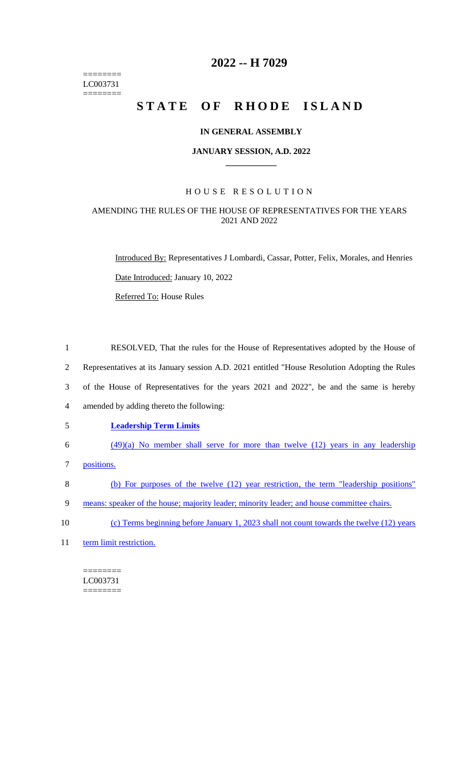======== LC003731 ========

# **2022 -- H 7029**

# **STATE OF RHODE ISLAND**

#### **IN GENERAL ASSEMBLY**

#### **JANUARY SESSION, A.D. 2022 \_\_\_\_\_\_\_\_\_\_\_\_**

## H O U S E R E S O L U T I O N

## AMENDING THE RULES OF THE HOUSE OF REPRESENTATIVES FOR THE YEARS 2021 AND 2022

Introduced By: Representatives J Lombardi, Cassar, Potter, Felix, Morales, and Henries Date Introduced: January 10, 2022

Referred To: House Rules

 RESOLVED, That the rules for the House of Representatives adopted by the House of Representatives at its January session A.D. 2021 entitled "House Resolution Adopting the Rules of the House of Representatives for the years 2021 and 2022", be and the same is hereby amended by adding thereto the following: **Leadership Term Limits** (49)(a) No member shall serve for more than twelve (12) years in any leadership positions.

8 (b) For purposes of the twelve (12) year restriction, the term "leadership positions"

9 means: speaker of the house; majority leader; minority leader; and house committee chairs.

10 (c) Terms beginning before January 1, 2023 shall not count towards the twelve (12) years

11 term limit restriction.

======== LC003731 ========